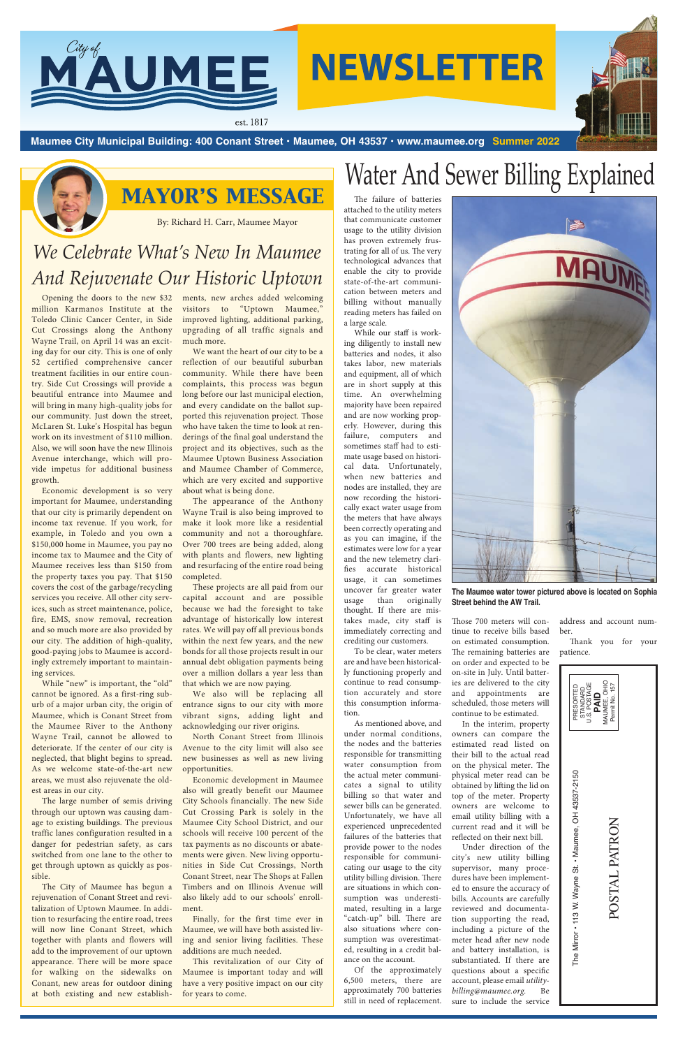

# **NEWSLETTER**



# Water And Sewer Billing Explained

The failure of batteries attached to the utility meters that communicate customer usage to the utility division has proven extremely frustrating for all of us. The very technological advances that enable the city to provide state-of-the-art communication between meters and billing without manually reading meters has failed on a large scale.

While our staff is working diligently to install new batteries and nodes, it also takes labor, new materials and equipment, all of which are in short supply at this time. An overwhelming majority have been repaired and are now working properly. However, during this failure, computers and sometimes staff had to estimate usage based on historical data. Unfortunately, when new batteries and nodes are installed, they are now recording the historically exact water usage from the meters that have always been correctly operating and as you can imagine, if the estimates were low for a year and the new telemetry clarifies accurate historical usage, it can sometimes uncover far greater water usage than originally thought. If there are mistakes made, city staff is immediately correcting and crediting our customers.

To be clear, water meters are and have been historically functioning properly and continue to read consumption accurately and store this consumption information.

As mentioned above, and under normal conditions, the nodes and the batteries responsible for transmitting water consumption from

the actual meter communicates a signal to utility billing so that water and sewer bills can be generated. Unfortunately, we have all experienced unprecedented failures of the batteries that provide power to the nodes responsible for communicating our usage to the city utility billing division. There are situations in which consumption was underestimated, resulting in a large "catch-up" bill. There are also situations where consumption was overestimated, resulting in a credit balance on the account.

Of the approximately 6,500 meters, there are approximately 700 batteries still in need of replacement.

Those 700 meters will continue to receive bills based on estimated consumption. The remaining batteries are on order and expected to be on-site in July. Until batteries are delivered to the city and appointments are scheduled, those meters will continue to be estimated.

While "new" is important, the "old" cannot be ignored. As a first-ring suburb of a major urban city, the origin of Maumee, which is Conant Street from the Maumee River to the Anthony Wayne Trail, cannot be allowed to deteriorate. If the center of our city is neglected, that blight begins to spread. As we welcome state-of-the-art new

In the interim, property owners can compare the estimated read listed on their bill to the actual read on the physical meter. The physical meter read can be obtained by lifting the lid on top of the meter. Property owners are welcome to email utility billing with a current read and it will be reflected on their next bill. Under direction of the city's new utility billing supervisor, many procedures have been implemented to ensure the accuracy of bills. Accounts are carefully reviewed and documentation supporting the read, including a picture of the meter head after new node and battery installation, is substantiated. If there are questions about a specific account, please email *utility-*

*billing@maumee.org.* Be sure to include the service

address and account number.

Thank you for your patience.

## *MAYOR'S MESSAGE*

## *We Celebrate What's New In Maumee And Rejuvenate Our Historic Uptown*

By: Richard H. Carr, Maumee Mayor

Opening the doors to the new \$32 million Karmanos Institute at the Toledo Clinic Cancer Center, in Side Cut Crossings along the Anthony Wayne Trail, on April 14 was an exciting day for our city. This is one of only 52 certified comprehensive cancer treatment facilities in our entire country. Side Cut Crossings will provide a beautiful entrance into Maumee and will bring in many high-quality jobs for our community. Just down the street, McLaren St. Luke's Hospital has begun work on its investment of \$110 million. Also, we will soon have the new Illinois Avenue interchange, which will provide impetus for additional business growth.

> The Mirror • 113 W. Wayne St. • Maumee, OH 43537-2150 The Mirror • 113 W. Wayne St. • Maumee, OH 43537-2150

Economic development is so very important for Maumee, understanding that our city is primarily dependent on income tax revenue. If you work, for example, in Toledo and you own a \$150,000 home in Maumee, you pay no income tax to Maumee and the City of Maumee receives less than \$150 from the property taxes you pay. That \$150 covers the cost of the garbage/recycling services you receive. All other city services, such as street maintenance, police, fire, EMS, snow removal, recreation and so much more are also provided by our city. The addition of high-quality, good-paying jobs to Maumee is accordingly extremely important to maintaining services.

The large number of semis driving through our uptown was causing damage to existing buildings. The previous traffic lanes configuration resulted in a danger for pedestrian safety, as cars switched from one lane to the other to get through uptown as quickly as possible.

The City of Maumee has begun a rejuvenation of Conant Street and revitalization of Uptown Maumee. In addition to resurfacing the entire road, trees will now line Conant Street, which together with plants and flowers will add to the improvement of our uptown appearance. There will be more space for walking on the sidewalks on Conant, new areas for outdoor dining at both existing and new establishments, new arches added welcoming visitors to "Uptown Maumee," improved lighting, additional parking, upgrading of all traffic signals and much more.

We want the heart of our city to be a reflection of our beautiful suburban community. While there have been complaints, this process was begun long before our last municipal election, and every candidate on the ballot supported this rejuvenation project. Those who have taken the time to look at renderings of the final goal understand the project and its objectives, such as the Maumee Uptown Business Association and Maumee Chamber of Commerce, which are very excited and supportive about what is being done.

The appearance of the Anthony Wayne Trail is also being improved to make it look more like a residential community and not a thoroughfare. Over 700 trees are being added, along with plants and flowers, new lighting and resurfacing of the entire road being completed.

These projects are all paid from our capital account and are possible because we had the foresight to take advantage of historically low interest rates. We will pay off all previous bonds within the next few years, and the new bonds for all those projects result in our annual debt obligation payments being over a million dollars a year less than that which we are now paying.

We also will be replacing all entrance signs to our city with more vibrant signs, adding light and acknowledging our river origins.

North Conant Street from Illinois Avenue to the city limit will also see new businesses as well as new living opportunities.

Economic development in Maumee also will greatly benefit our Maumee City Schools financially. The new Side Cut Crossing Park is solely in the Maumee City School District, and our schools will receive 100 percent of the tax payments as no discounts or abatements were given. New living opportunities in Side Cut Crossings, North Conant Street, near The Shops at Fallen Timbers and on Illinois Avenue will also likely add to our schools' enrollment.

Finally, for the first time ever in Maumee, we will have both assisted living and senior living facilities. These additions are much needed.

This revitalization of our City of Maumee is important today and will have a very positive impact on our city for years to come.

POSTAL PATRON

POSTAL PATRON



**Maumee City Municipal Building: 400 Conant Street • Maumee, OH 43537 • www.maumee.org Summer 2022**



**The Maumee water tower pictured above is located on Sophia Street behind the AW Trail.**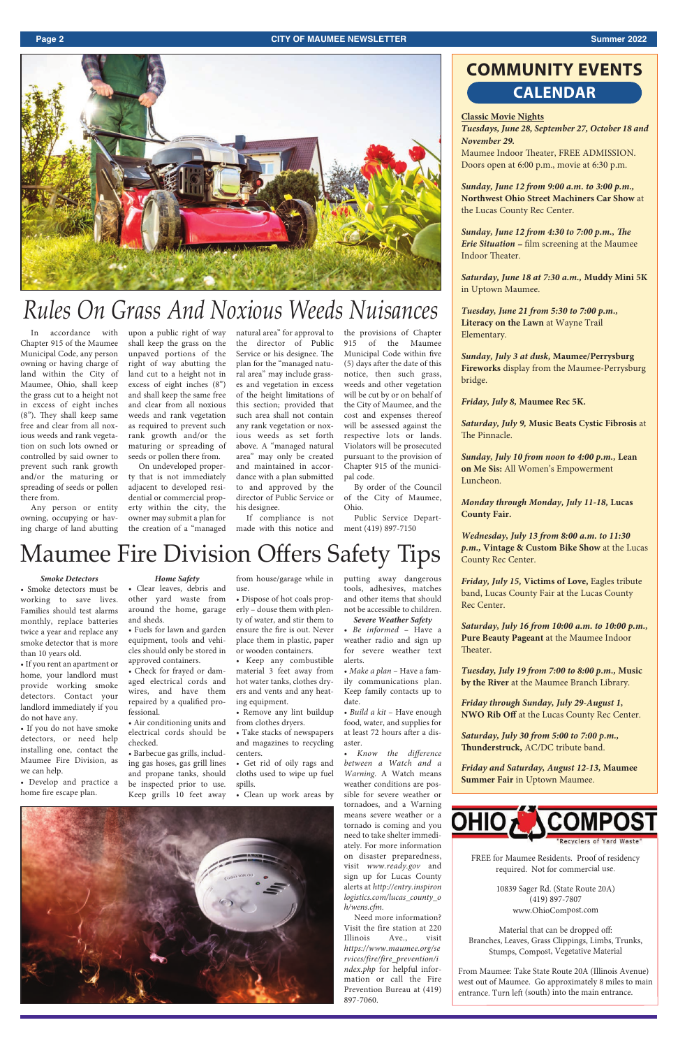## *Rules On Grass And Noxious Weeds Nuisances*

#### **Page 2 CITY OF MAUMEE NEWSLETTER Summer 2022**



#### **Classic Movie Nights**

*Tuesdays, June 28, September 27, October 18 and November 29.*  Maumee Indoor Theater, FREE ADMISSION. Doors open at 6:00 p.m., movie at 6:30 p.m.

*Sunday, June 12 from 9:00 a.m. to 3:00 p.m.,*  **Northwest Ohio Street Machiners Car Show** at the Lucas County Rec Center.

*Sunday, June 12 from 4:30 to 7:00 p.m., The Erie Situation –* filmscreening at the Maumee Indoor Theater.

*Saturday, June 18 at 7:30 a.m.,* **Muddy Mini 5K** in Uptown Maumee.

*Tuesday, June 21 from 5:30 to 7:00 p.m.,*  **Literacy on the Lawn**at Wayne Trail Elementary.

*Sunday, July 3 at dusk,* **Maumee/Perrysburg Fireworks**display from the Maumee-Perrysburg bridge.

*Friday, July 8,* **Maumee Rec 5K.**

*Saturday, July 9,* **Music Beats Cystic Fibrosis**at The Pinnacle.

*Sunday, July 10 from noon to 4:00 p.m.,* **Lean on Me Sis:** All Women's Empowerment Luncheon.

*Monday through Monday, July 11-18,* **Lucas County Fair.**

*Wednesday, July 13 from 8:00 a.m. to 11:30 p.m.,* **Vintage & Custom Bike Show** at the Lucas County Rec Center.

*Friday, July 15,* **Victims of Love,** Eagles tribute band,Lucas County Fairat the Lucas County

Rec Center.

*Saturday, July 16 from 10:00 a.m. to 10:00 p.m.,*  **Pure Beauty Pageant** at the Maumee Indoor Theater.

*Tuesday, July 19 from 7:00 to 8:00 p.m.,* **Music by the River** at the Maumee Branch Library.

*Friday through Sunday, July 29-August 1,*  **NWO Rib Off**at the Lucas County Rec Center.

*Saturday, July 30 from 5:00 to 7:00 p.m.,*  **Thunderstruck,** AC/DC tribute band.

*Friday and Saturday, August 12-13,* **Maumee** 

**Summer Fair**in Uptown Maumee.



#### *Smoke Detectors*

• Smoke detectors must be working to save lives. Families should test alarms monthly, replace batteries twice a year and replace any smoke detector that is more than 10 years old.

• If you rent an apartment or home, your landlord must provide working smoke detectors. Contact your landlord immediately if you do not have any.

• If you do not have smoke detectors, or need help installing one, contact the Maumee Fire Division, as we can help. • Develop and practice a home fire escape plan.

### *Home Safety*

## **COMMUNITY EVENTS CALENDAR**

• Clear leaves, debris and other yard waste from around the home, garage and sheds.

• Fuels for lawn and garden equipment, tools and vehicles should only be stored in approved containers.

• Check for frayed or damaged electrical cords and wires, and have them repaired by a qualified professional.

• Air conditioning units and electrical cords should be checked.

• Barbecue gas grills, including gas hoses, gas grill lines

from house/garage while in • Dispose of hot coals prop-

use.

erly – douse them with plenty of water, and stir them to ensure the fire is out. Never place them in plastic, paper or wooden containers.

and propane tanks, should be inspected prior to use. spills. Keep grills 10 feet away • Clean up work areas by cloths used to wipe up fuel



• Keep any combustible material 3 feet away from hot water tanks, clothes dryers and vents and any heating equipment.

• Remove any lint buildup from clothes dryers.

• Take stacks of newspapers and magazines to recycling centers.

putting away dangerous tools, adhesives, matches and other items that should not be accessible to children. *Severe Weather Safety* 

• *Be informed* – Have a weather radio and sign up for severe weather text alerts.

• *Make a plan* – Have a family communications plan. Keep family contacts up to date.

• *Build a kit* – Have enough food, water, and supplies for at least 72 hours after a disaster.

• *Know the difference* 

• Get rid of oily rags and *between a Watch and a Warning*. A Watch means weather conditions are possible for severe weather or tornadoes, and a Warning means severe weather or a tornado is coming and you need to take shelter immediately. For more information on disaster preparedness, visit *www.ready.gov* and sign up for Lucas County alerts at *http://entry.inspiron logistics.com/lucas\_county\_o h/wens.cfm.* Need more information? Visit the fire station at 220 Illinois Ave., visit *https://www.maumee.org/se rvices/fire/fire\_prevention/i*

> *ndex.php* for helpful information or call the Fire Prevention Bureau at (419)

897-7060.

## Maumee Fire Division Offers Safety Tips

In accordance with Chapter 915 of the Maumee Municipal Code, any person owning or having charge of land within the City of Maumee, Ohio, shall keep the grass cut to a height not in excess of eight inches (8"). They shall keep same free and clear from all noxious weeds and rank vegetation on such lots owned or controlled by said owner to prevent such rank growth and/or the maturing or spreading of seeds or pollen there from.

Any person or entity owning, occupying or having charge of land abutting upon a public right of way shall keep the grass on the unpaved portions of the right of way abutting the land cut to a height not in excess of eight inches (8") and shall keep the same free and clear from all noxious weeds and rank vegetation as required to prevent such rank growth and/or the maturing or spreading of seeds or pollen there from.

On undeveloped property that is not immediately adjacent to developed residential or commercial property within the city, the owner may submit a plan for the creation of a "managed natural area" for approval to the director of Public Service or his designee. The plan for the "managed natural area" may include grasses and vegetation in excess of the height limitations of this section; provided that such area shall not contain any rank vegetation or noxious weeds as set forth above. A "managed natural area" may only be created and maintained in accordance with a plan submitted to and approved by the director of Public Service or his designee.

If compliance is not made with this notice and the provisions of Chapter 915 of the Maumee Municipal Code within five (5) days after the date of this notice, then such grass, weeds and other vegetation will be cut by or on behalf of the City of Maumee, and the cost and expenses thereof will be assessed against the respective lots or lands. Violators will be prosecuted pursuant to the provision of Chapter 915 of the municipal code.

By order of the Council of the City of Maumee, Ohio.

Public Service Department (419) 897-7150

> FREE for Maumee Residents. Proof of residency required. Not for commercial use.

> > 10839 Sager Rd. (State Route 20A) (419) 897-7807 www.OhioCompost.com

Material that can be dropped off: Branches, Leaves, Grass Clippings, Limbs, Trunks, Stumps, Compost, Vegetative Material

From Maumee: Take State Route 20A (Illinois Avenue) west out of Maumee. Go approximately 8 miles to main entrance. Turn left (south) into the main entrance.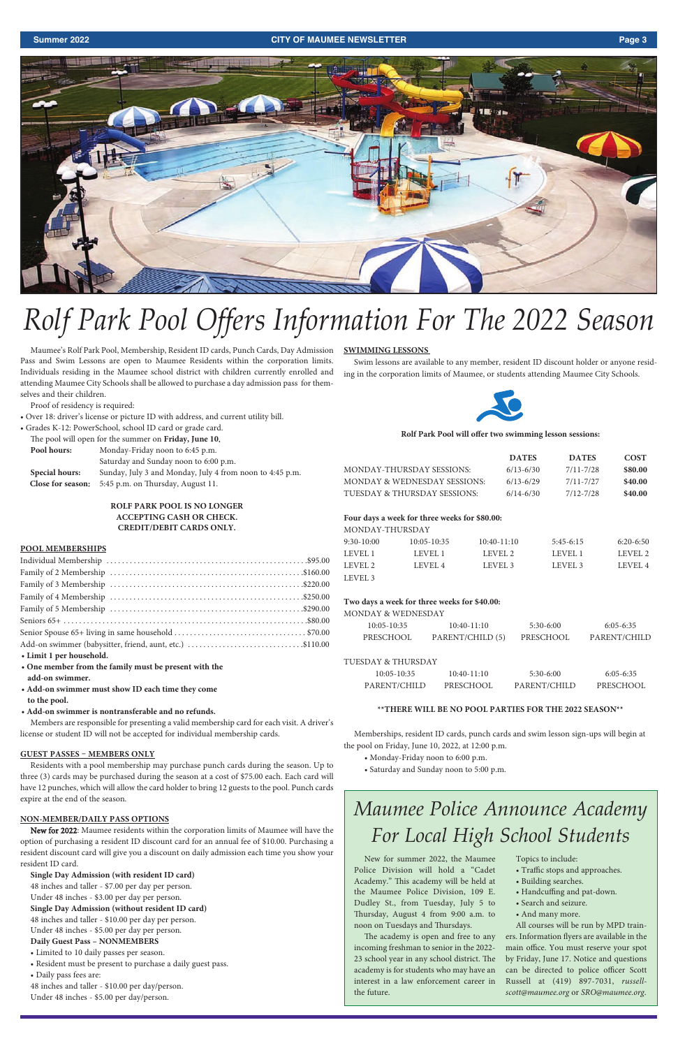#### **Summer 2022 CITY OF MAUMEE NEWSLETTER Page 3**



Maumee's Rolf Park Pool, Membership, Resident ID cards, Punch Cards, Day Admission Pass and Swim Lessons are open to Maumee Residents within the corporation limits. Individuals residing in the Maumee school district with children currently enrolled and attending Maumee City Schools shall be allowed to purchase a day admission pass for themselves and their children.

Proof of residency is required:

- Over 18: driver's license or picture ID with address, and current utility bill.
- Grades K-12: PowerSchool, school ID card or grade card.

| The pool will open for the summer on Friday, June 10. |                                       |  |
|-------------------------------------------------------|---------------------------------------|--|
| Monday-Friday noon to 6:45 p.m.<br>Pool hours:        |                                       |  |
|                                                       | Saturday and Sunday noon to 6:00 p.m. |  |

|                | $\frac{1}{2}$                                              |
|----------------|------------------------------------------------------------|
| Special hours: | Sunday, July 3 and Monday, July 4 from noon to 4:45 p.m.   |
|                | <b>Close for season:</b> 5:45 p.m. on Thursday, August 11. |

#### **ROLF PARK POOL IS NO LONGER ACCEPTING CASH OR CHECK. CREDIT/DEBIT CARDS ONLY.**

#### **POOL MEMBERSHIPS**

| Add-on swimmer (babysitter, friend, aunt, etc.) \$110.00 |  |  |
|----------------------------------------------------------|--|--|
| • Limit 1 per household.                                 |  |  |
| • One member from the family must be present with the    |  |  |
| add-on swimmer.                                          |  |  |
| • Add-on swimmer must show ID each time they come        |  |  |
| to the pool.                                             |  |  |
| • Add-on swimmer is nontransferable and no refunds.      |  |  |

Members are responsible for presenting a valid membership card for each visit. A driver's license or student ID will not be accepted for individual membership cards.

#### **GUEST PASSES – MEMBERS ONLY**

Residents with a pool membership may purchase punch cards during the season. Up to

three (3) cards may be purchased during the season at a cost of \$75.00 each. Each card will have 12 punches, which will allow the card holder to bring 12 guests to the pool. Punch cards expire at the end of the season.

#### **NON-MEMBER/DAILY PASS OPTIONS**

New for 2022: Maumee residents within the corporation limits of Maumee will have the option of purchasing a resident ID discount card for an annual fee of \$10.00. Purchasing a resident discount card will give you a discount on daily admission each time you show your resident ID card.

**Single Day Admission (with resident ID card)** 48 inches and taller - \$7.00 per day per person. Under 48 inches - \$3.00 per day per person. **Single Day Admission (without resident ID card)** 48 inches and taller - \$10.00 per day per person. Under 48 inches - \$5.00 per day per person. **Daily Guest Pass – NONMEMBERS**

• Limited to 10 daily passes per season.

- Resident must be present to purchase a daily guest pass.
- Daily pass fees are: 48 inches and taller - \$10.00 per day/person.

Under 48 inches - \$5.00 per day/person.

#### **SWIMMING LESSONS**

Swim lessons are available to any member, resident ID discount holder or anyone residing in the corporation limits of Maumee, or students attending Maumee City Schools.



#### **Rolf Park Pool will offer two swimming lesson sessions:**

|                                | <b>DATES</b>  | <b>DATES</b> | <b>COST</b> |
|--------------------------------|---------------|--------------|-------------|
| MONDAY-THURSDAY SESSIONS: .    | $6/13 - 6/30$ | 7/11-7/28    | \$80.00     |
| MONDAY & WEDNESDAY SESSIONS: . | $6/13 - 6/29$ | 7/11-7/27    | \$40.00     |
| TUESDAY & THURSDAY SESSIONS:   | $6/14 - 6/30$ | 7/12-7/28    | \$40.00     |

#### **Four days a week for three weeks for \$80.00:**

| MONDAY-THURSDAY |             |               |             |             |
|-----------------|-------------|---------------|-------------|-------------|
| $9:30-10:00$    | 10:05-10:35 | $10:40-11:10$ | $5:45-6:15$ | $6:20-6:50$ |
| LEVEL 1         | LEVEL 1     | LEVEL 2       | LEVEL 1     | LEVEL 2     |
| LEVEL 2         | LEVEL 4     | LEVEL 3       | LEVEL 3     | LEVEL 4     |
| LEVEL 3         |             |               |             |             |

#### **Two days a week for three weeks for \$40.00:**

MONDAY & WEDNESDAY

| $10:05 - 10:35$ | $10:40-11:10$    | $5:30-6:00$ | $6:05-6:35$  |
|-----------------|------------------|-------------|--------------|
| PRESCHOOL       | PARENT/CHILD (5) | PRESCHOOL   | PARENT/CHILD |

#### TUESDAY & THURSDAY

| $10:05 - 10:35$ | $10:40-11:10$ | $5:30-6:00$  | $6:05-6:35$ |
|-----------------|---------------|--------------|-------------|
| PARENT/CHILD    | PRESCHOOL     | PARENT/CHILD | PRESCHOOL   |

#### **\*\*THERE WILL BE NO POOL PARTIES FOR THE 2022 SEASON\*\***

Memberships, resident ID cards, punch cards and swim lesson sign-ups will begin at the pool on Friday, June 10, 2022, at 12:00 p.m.

- Monday-Friday noon to 6:00 p.m.
- Saturday and Sunday noon to 5:00 p.m.

# *Rolf Park Pool Offers Information For The 2022 Season*

New for summer 2022, the Maumee Police Division will hold a "Cadet Academy." This academy will be held at the Maumee Police Division, 109 E. Dudley St., from Tuesday, July 5 to Thursday, August 4 from 9:00 a.m. to noon on Tuesdays and Thursdays.

The academy is open and free to any incoming freshman to senior in the 2022- 23 school year in any school district. The academy is for students who may have an interest in a law enforcement career in the future.

Topics to include:

- Traffic stops and approaches.
- Building searches.
- Handcuffing and pat-down.
- Search and seizure.
- And many more.

All courses will be run by MPD trainers. Information flyers are available in the main office. You must reserve your spot by Friday, June 17. Notice and questions can be directed to police officer Scott Russell at (419) 897-7031, *russellscott@maumee.org* or *SRO@maumee.org*.

## *Maumee Police Announce Academy For Local High School Students*